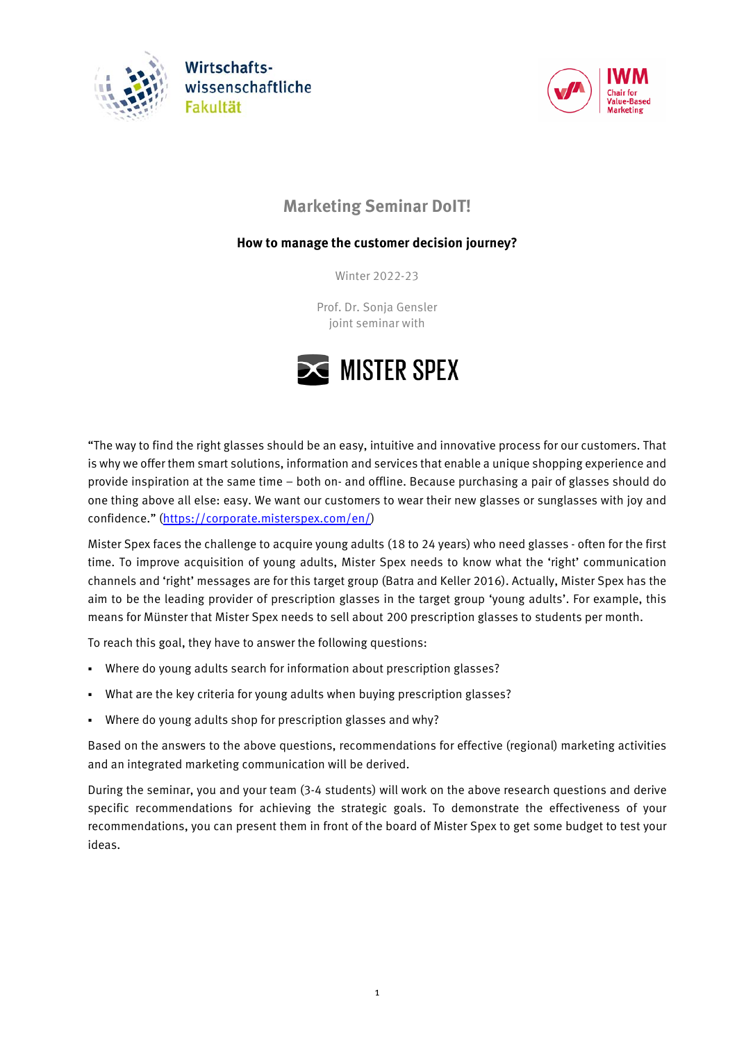





# **Marketing Seminar DoIT!**

## **How to manage the customer decision journey?**

Winter 2022-23

Prof. Dr. Sonja Gensler joint seminar with



"The way to find the right glasses should be an easy, intuitive and innovative process for our customers. That is why we offer them smart solutions, information and services that enable a unique shopping experience and provide inspiration at the same time – both on- and offline. Because purchasing a pair of glasses should do one thing above all else: easy. We want our customers to wear their new glasses or sunglasses with joy and confidence." [\(https://corporate.misterspex.com/en/\)](https://corporate.misterspex.com/en/)

Mister Spex faces the challenge to acquire young adults (18 to 24 years) who need glasses - often for the first time. To improve acquisition of young adults, Mister Spex needs to know what the 'right' communication channels and 'right' messages are for this target group (Batra and Keller 2016). Actually, Mister Spex has the aim to be the leading provider of prescription glasses in the target group 'young adults'. For example, this means for Münster that Mister Spex needs to sell about 200 prescription glasses to students per month.

To reach this goal, they have to answer the following questions:

- Where do young adults search for information about prescription glasses?
- What are the key criteria for young adults when buying prescription glasses?
- Where do young adults shop for prescription glasses and why?

Based on the answers to the above questions, recommendations for effective (regional) marketing activities and an integrated marketing communication will be derived.

During the seminar, you and your team (3-4 students) will work on the above research questions and derive specific recommendations for achieving the strategic goals. To demonstrate the effectiveness of your recommendations, you can present them in front of the board of Mister Spex to get some budget to test your ideas.